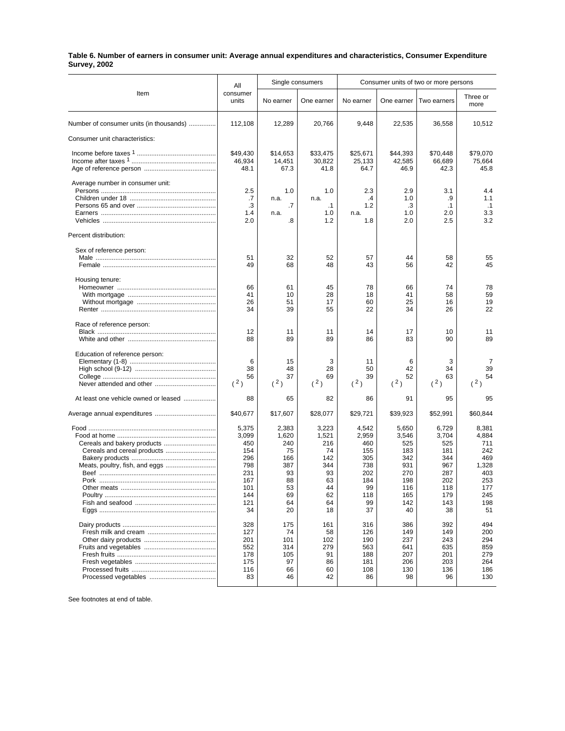## **Table 6. Number of earners in consumer unit: Average annual expenditures and characteristics, Consumer Expenditure Survey, 2002**

|                                         | All                                                                                 | Single consumers                                                              |                                                                               | Consumer units of two or more persons                                             |                                                                                     |                                                                                     |                                                                                       |
|-----------------------------------------|-------------------------------------------------------------------------------------|-------------------------------------------------------------------------------|-------------------------------------------------------------------------------|-----------------------------------------------------------------------------------|-------------------------------------------------------------------------------------|-------------------------------------------------------------------------------------|---------------------------------------------------------------------------------------|
| Item                                    | consumer<br>units                                                                   | No earner                                                                     | One earner                                                                    | No earner                                                                         | One earner                                                                          | Two earners                                                                         | Three or<br>more                                                                      |
| Number of consumer units (in thousands) | 112,108                                                                             | 12,289                                                                        | 20,766                                                                        | 9,448                                                                             | 22,535                                                                              | 36,558                                                                              | 10,512                                                                                |
| Consumer unit characteristics:          |                                                                                     |                                                                               |                                                                               |                                                                                   |                                                                                     |                                                                                     |                                                                                       |
|                                         | \$49,430<br>46,934<br>48.1                                                          | \$14,653<br>14,451<br>67.3                                                    | \$33,475<br>30,822<br>41.8                                                    | \$25,671<br>25,133<br>64.7                                                        | \$44,393<br>42,585<br>46.9                                                          | \$70,448<br>66,689<br>42.3                                                          | \$79,070<br>75,664<br>45.8                                                            |
| Average number in consumer unit:        | 2.5<br>.7<br>.3<br>1.4<br>2.0                                                       | 1.0<br>n.a.<br>$\cdot$ 7<br>n.a.<br>.8                                        | 1.0<br>n.a.<br>$\cdot$ 1<br>1.0<br>1.2                                        | 2.3<br>.4<br>1.2<br>n.a.<br>1.8                                                   | 2.9<br>1.0<br>.3<br>1.0<br>2.0                                                      | 3.1<br>.9<br>$\cdot$ 1<br>2.0<br>2.5                                                | 4.4<br>1.1<br>$\cdot$ 1<br>3.3<br>3.2                                                 |
| Percent distribution:                   |                                                                                     |                                                                               |                                                                               |                                                                                   |                                                                                     |                                                                                     |                                                                                       |
| Sex of reference person:                | 51<br>49                                                                            | 32<br>68                                                                      | 52<br>48                                                                      | 57<br>43                                                                          | 44<br>56                                                                            | 58<br>42                                                                            | 55<br>45                                                                              |
| Housing tenure:                         | 66<br>41<br>26<br>34                                                                | 61<br>10<br>51<br>39                                                          | 45<br>28<br>17<br>55                                                          | 78<br>18<br>60<br>22                                                              | 66<br>41<br>25<br>34                                                                | 74<br>58<br>16<br>26                                                                | 78<br>59<br>19<br>22                                                                  |
| Race of reference person:               | 12<br>88                                                                            | 11<br>89                                                                      | 11<br>89                                                                      | 14<br>86                                                                          | 17<br>83                                                                            | 10<br>90                                                                            | 11<br>89                                                                              |
| Education of reference person:          | 6<br>38<br>56<br>(2)                                                                | 15<br>48<br>37<br>(2)                                                         | 3<br>28<br>69<br>(2)                                                          | 11<br>50<br>39<br>(2)                                                             | 6<br>42<br>52<br>(2)                                                                | 3<br>34<br>63<br>(2)                                                                | 39<br>54<br>(2)                                                                       |
| At least one vehicle owned or leased    | 88                                                                                  | 65                                                                            | 82                                                                            | 86                                                                                | 91                                                                                  | 95                                                                                  | 95                                                                                    |
|                                         | \$40,677                                                                            | \$17,607                                                                      | \$28,077                                                                      | \$29,721                                                                          | \$39,923                                                                            | \$52,991                                                                            | \$60,844                                                                              |
| Meats, poultry, fish, and eggs          | 5,375<br>3,099<br>450<br>154<br>296<br>798<br>231<br>167<br>101<br>144<br>121<br>34 | 2,383<br>1,620<br>240<br>75<br>166<br>387<br>93<br>88<br>53<br>69<br>64<br>20 | 3,223<br>1,521<br>216<br>74<br>142<br>344<br>93<br>63<br>44<br>62<br>64<br>18 | 4,542<br>2,959<br>460<br>155<br>305<br>738<br>202<br>184<br>99<br>118<br>99<br>37 | 5,650<br>3,546<br>525<br>183<br>342<br>931<br>270<br>198<br>116<br>165<br>142<br>40 | 6,729<br>3,704<br>525<br>181<br>344<br>967<br>287<br>202<br>118<br>179<br>143<br>38 | 8,381<br>4,884<br>711<br>242<br>469<br>1,328<br>403<br>253<br>177<br>245<br>198<br>51 |
|                                         | 328<br>127<br>201<br>552<br>178<br>175<br>116<br>83                                 | 175<br>74<br>101<br>314<br>105<br>97<br>66<br>46                              | 161<br>58<br>102<br>279<br>91<br>86<br>60<br>42                               | 316<br>126<br>190<br>563<br>188<br>181<br>108<br>86                               | 386<br>149<br>237<br>641<br>207<br>206<br>130<br>98                                 | 392<br>149<br>243<br>635<br>201<br>203<br>136<br>96                                 | 494<br>200<br>294<br>859<br>279<br>264<br>186<br>130                                  |

See footnotes at end of table.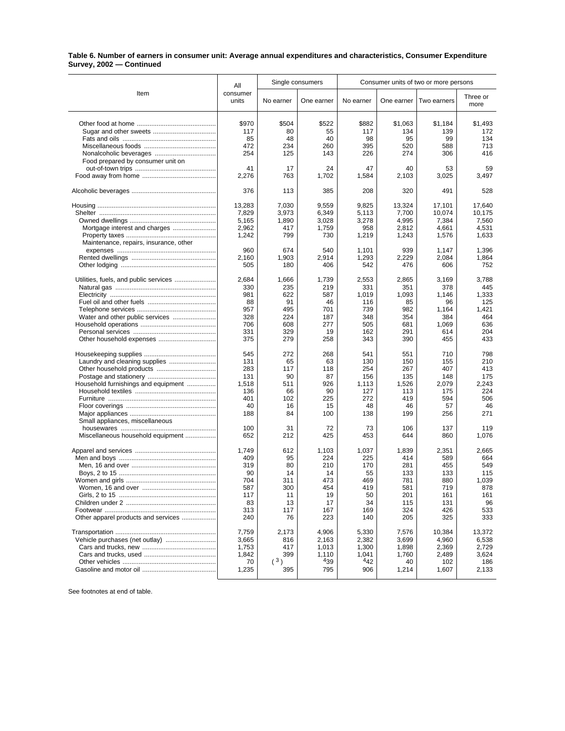## **Table 6. Number of earners in consumer unit: Average annual expenditures and characteristics, Consumer Expenditure Survey, 2002 — Continued**

|                                        | Single consumers<br>All |           | Consumer units of two or more persons |              |            |              |                  |
|----------------------------------------|-------------------------|-----------|---------------------------------------|--------------|------------|--------------|------------------|
| Item                                   | consumer<br>units       | No earner | One earner                            | No earner    | One earner | Two earners  | Three or<br>more |
|                                        | \$970                   | \$504     | \$522                                 | \$882        | \$1,063    | \$1,184      | \$1,493          |
|                                        | 117                     | 80        | 55                                    | 117          | 134        | 139          | 172              |
|                                        |                         | 48        | 40                                    | 98           |            | 99           |                  |
|                                        | 85                      |           |                                       |              | 95         |              | 134              |
|                                        | 472                     | 234       | 260                                   | 395          | 520        | 588          | 713              |
|                                        | 254                     | 125       | 143                                   | 226          | 274        | 306          | 416              |
| Food prepared by consumer unit on      |                         |           |                                       |              |            |              |                  |
|                                        | 41                      | 17        | 24                                    | 47           | 40         | 53           | 59               |
|                                        | 2,276                   | 763       | 1,702                                 | 1,584        | 2,103      | 3,025        | 3,497            |
|                                        | 376                     | 113       | 385                                   | 208          | 320        | 491          | 528              |
|                                        | 13,283                  | 7,030     | 9,559                                 | 9,825        | 13,324     | 17,101       | 17,640           |
|                                        | 7,829                   | 3,973     | 6,349                                 | 5,113        | 7,700      | 10,074       | 10,175           |
|                                        | 5,165                   | 1,890     | 3,028                                 | 3,278        | 4,995      | 7,384        | 7,560            |
| Mortgage interest and charges          | 2,962                   | 417       | 1,759                                 | 958          | 2,812      | 4,661        | 4,531            |
|                                        | 1,242                   | 799       | 730                                   | 1,219        | 1,243      | 1,576        | 1,633            |
| Maintenance, repairs, insurance, other |                         |           |                                       |              |            |              |                  |
|                                        | 960                     | 674       | 540                                   | 1,101        | 939        | 1,147        | 1,396            |
|                                        | 2,160                   | 1,903     | 2,914                                 | 1,293        | 2,229      | 2,084        | 1,864            |
|                                        | 505                     | 180       | 406                                   | 542          | 476        | 606          | 752              |
|                                        | 2,684                   | 1,666     | 1,739                                 | 2,553        | 2,865      | 3,169        | 3,788            |
| Utilities, fuels, and public services  |                         |           |                                       |              |            |              |                  |
|                                        | 330                     | 235       | 219                                   | 331<br>1,019 | 351        | 378<br>1.146 | 445              |
|                                        | 981                     | 622       | 587                                   |              | 1,093      |              | 1,333            |
|                                        | 88                      | 91        | 46                                    | 116          | 85         | 96           | 125              |
|                                        | 957                     | 495       | 701                                   | 739          | 982        | 1,164        | 1,421            |
|                                        | 328                     | 224       | 187                                   | 348          | 354        | 384          | 464              |
|                                        | 706                     | 608       | 277                                   | 505          | 681        | 1.069        | 636              |
|                                        | 331                     | 329       | 19                                    | 162          | 291        | 614          | 204              |
|                                        | 375                     | 279       | 258                                   | 343          | 390        | 455          | 433              |
|                                        | 545                     | 272       | 268                                   | 541          | 551        | 710          | 798              |
|                                        | 131                     | 65        | 63                                    | 130          | 150        | 155          | 210              |
|                                        | 283                     | 117       | 118                                   | 254          | 267        | 407          | 413              |
|                                        | 131                     | 90        | 87                                    | 156          | 135        | 148          | 175              |
| Household furnishings and equipment    | 1,518                   | 511       | 926                                   | 1,113        | 1,526      | 2,079        | 2,243            |
|                                        | 136                     | 66        | 90                                    | 127          | 113        | 175          | 224              |
|                                        | 401                     | 102       | 225                                   | 272          | 419        | 594          | 506              |
|                                        | 40                      | 16        | 15                                    | 48           | 46         | 57           | 46               |
|                                        | 188                     | 84        | 100                                   | 138          | 199        | 256          | 271              |
| Small appliances, miscellaneous        |                         |           |                                       |              |            |              |                  |
|                                        | 100                     | 31        | 72                                    | 73           | 106        | 137          | 119              |
| Miscellaneous household equipment      | 652                     | 212       | 425                                   | 453          | 644        | 860          | 1,076            |
|                                        | 1,749                   | 612       | 1,103                                 | 1,037        | 1,839      | 2,351        | 2,665            |
|                                        |                         |           |                                       |              |            |              |                  |
|                                        | 409                     | 95        | 224                                   | 225          | 414        | 589          | 664              |
|                                        | 319                     | 80        | 210                                   | 170          | 281        | 455          | 549              |
|                                        | 90                      | 14        | 14                                    | 55           | 133        | 133          | 115              |
|                                        | 704                     | 311       | 473                                   | 469          | 781        | 880          | 1,039            |
|                                        | 587                     | 300       | 454                                   | 419          | 581        | 719          | 878              |
|                                        | 117                     | 11        | 19                                    | 50           | 201        | 161          | 161              |
|                                        | 83                      | 13        | 17                                    | 34           | 115        | 131          | 96               |
|                                        | 313                     | 117       | 167                                   | 169          | 324        | 426          | 533              |
| Other apparel products and services    | 240                     | 76        | 223                                   | 140          | 205        | 325          | 333              |
|                                        | 7,759                   | 2,173     | 4.906                                 | 5,330        | 7,576      | 10,384       | 13,372           |
|                                        | 3,665                   | 816       | 2,163                                 | 2,382        | 3,699      | 4,960        | 6,538            |
|                                        | 1,753                   | 417       | 1,013                                 | 1,300        | 1,898      | 2,369        | 2,729            |
|                                        | 1,842                   | 399       | 1,110                                 | 1,041        | 1,760      | 2,489        | 3,624            |
|                                        | 70                      | (3)       | 439                                   | 442          | 40         | 102          | 186              |
|                                        |                         |           |                                       |              |            |              |                  |
|                                        | 1,235                   | 395       | 795                                   | 906          | 1,214      | 1,607        | 2,133            |

See footnotes at end of table.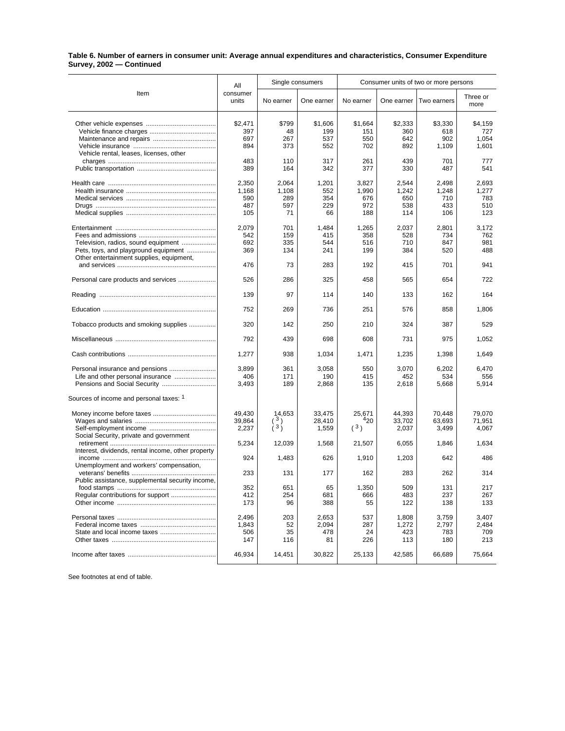## **Table 6. Number of earners in consumer unit: Average annual expenditures and characteristics, Consumer Expenditure Survey, 2002 — Continued**

| Item                                                                                                                    | All                                 | Single consumers                   |                                  | Consumer units of two or more persons |                                     |                                     |                                     |
|-------------------------------------------------------------------------------------------------------------------------|-------------------------------------|------------------------------------|----------------------------------|---------------------------------------|-------------------------------------|-------------------------------------|-------------------------------------|
|                                                                                                                         | consumer<br>units                   | No earner                          | One earner                       | No earner                             | One earner                          | Two earners                         | Three or<br>more                    |
| Vehicle rental, leases, licenses, other                                                                                 | \$2,471<br>397<br>697<br>894        | \$799<br>48<br>267<br>373          | \$1,606<br>199<br>537<br>552     | \$1,664<br>151<br>550<br>702          | \$2,333<br>360<br>642<br>892        | \$3,330<br>618<br>902<br>1,109      | \$4.159<br>727<br>1.054<br>1,601    |
|                                                                                                                         | 483<br>389                          | 110<br>164                         | 317<br>342                       | 261<br>377                            | 439<br>330                          | 701<br>487                          | 777<br>541                          |
|                                                                                                                         | 2,350<br>1,168<br>590<br>487<br>105 | 2,064<br>1,108<br>289<br>597<br>71 | 1,201<br>552<br>354<br>229<br>66 | 3,827<br>1,990<br>676<br>972<br>188   | 2,544<br>1,242<br>650<br>538<br>114 | 2,498<br>1,248<br>710<br>433<br>106 | 2,693<br>1,277<br>783<br>510<br>123 |
| Television, radios, sound equipment<br>Pets, toys, and playground equipment<br>Other entertainment supplies, equipment, | 2,079<br>542<br>692<br>369          | 701<br>159<br>335<br>134           | 1,484<br>415<br>544<br>241       | 1,265<br>358<br>516<br>199            | 2,037<br>528<br>710<br>384          | 2,801<br>734<br>847<br>520          | 3,172<br>762<br>981<br>488          |
|                                                                                                                         | 476                                 | 73                                 | 283                              | 192                                   | 415                                 | 701                                 | 941                                 |
| Personal care products and services                                                                                     | 526                                 | 286                                | 325                              | 458                                   | 565                                 | 654                                 | 722                                 |
|                                                                                                                         | 139                                 | 97                                 | 114                              | 140                                   | 133                                 | 162                                 | 164                                 |
|                                                                                                                         | 752                                 | 269                                | 736                              | 251                                   | 576                                 | 858                                 | 1,806                               |
| Tobacco products and smoking supplies                                                                                   | 320                                 | 142                                | 250                              | 210                                   | 324                                 | 387                                 | 529                                 |
|                                                                                                                         | 792                                 | 439                                | 698                              | 608                                   | 731                                 | 975                                 | 1.052                               |
|                                                                                                                         | 1,277                               | 938                                | 1,034                            | 1,471                                 | 1,235                               | 1,398                               | 1,649                               |
| Personal insurance and pensions                                                                                         | 3,899<br>406<br>3,493               | 361<br>171<br>189                  | 3,058<br>190<br>2,868            | 550<br>415<br>135                     | 3,070<br>452<br>2,618               | 6,202<br>534<br>5,668               | 6,470<br>556<br>5,914               |
| Sources of income and personal taxes: 1                                                                                 |                                     |                                    |                                  |                                       |                                     |                                     |                                     |
| Social Security, private and government                                                                                 | 49,430<br>39,864<br>2,237           | 14,653<br>$\binom{3}{3}$           | 33,475<br>28,410<br>1,559        | 25,671<br>420<br>(3)                  | 44,393<br>33,702<br>2,037           | 70,448<br>63,693<br>3,499           | 79,070<br>71,951<br>4,067           |
|                                                                                                                         | 5,234                               | 12,039                             | 1,568                            | 21,507                                | 6,055                               | 1,846                               | 1,634                               |
| Interest, dividends, rental income, other property<br>Unemployment and workers' compensation,                           | 924                                 | 1,483                              | 626                              | 1,910                                 | 1,203                               | 642                                 | 486                                 |
| Public assistance, supplemental security income,                                                                        | 233                                 | 131                                | 177                              | 162                                   | 283                                 | 262                                 | 314                                 |
|                                                                                                                         | 352<br>412<br>173                   | 651<br>254<br>96                   | 65<br>681<br>388                 | 1,350<br>666<br>55                    | 509<br>483<br>122                   | 131<br>237<br>138                   | 217<br>267<br>133                   |
|                                                                                                                         | 2,496<br>1,843<br>506<br>147        | 203<br>52<br>35<br>116             | 2,653<br>2,094<br>478<br>81      | 537<br>287<br>24<br>226               | 1,808<br>1,272<br>423<br>113        | 3,759<br>2,797<br>783<br>180        | 3,407<br>2,484<br>709<br>213        |
|                                                                                                                         | 46,934                              | 14,451                             | 30,822                           | 25,133                                | 42,585                              | 66,689                              | 75,664                              |

See footnotes at end of table.